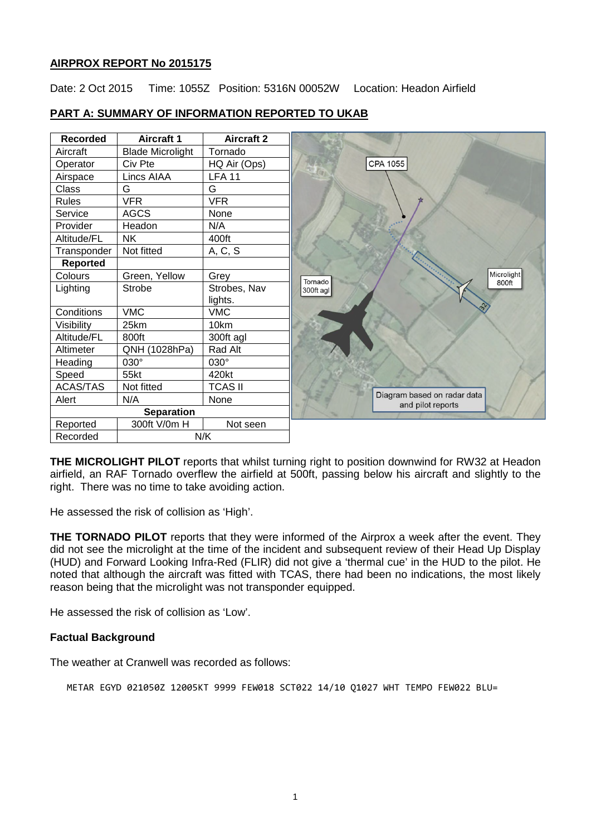# **AIRPROX REPORT No 2015175**

Date: 2 Oct 2015 Time: 1055Z Position: 5316N 00052W Location: Headon Airfield

| <b>Recorded</b>   | <b>Aircraft 1</b>       | <b>Aircraft 2</b> |                                                  |
|-------------------|-------------------------|-------------------|--------------------------------------------------|
| Aircraft          | <b>Blade Microlight</b> | Tornado           |                                                  |
| Operator          | Civ Pte                 | HQ Air (Ops)      | CPA 1055                                         |
| Airspace          | Lincs AIAA              | <b>LFA 11</b>     |                                                  |
| Class             | G                       | G                 |                                                  |
| <b>Rules</b>      | <b>VFR</b>              | <b>VFR</b>        |                                                  |
| Service           | <b>AGCS</b>             | None              |                                                  |
| Provider          | Headon                  | N/A               |                                                  |
| Altitude/FL       | <b>NK</b>               | 400ft             |                                                  |
| Transponder       | Not fitted              | A, C, S           |                                                  |
| <b>Reported</b>   |                         |                   |                                                  |
| Colours           | Green, Yellow           | Grey              | Microlight<br>Tornado<br>800ft                   |
| Lighting          | <b>Strobe</b>           | Strobes, Nav      | 300ft agl                                        |
|                   |                         | lights.           |                                                  |
| Conditions        | <b>VMC</b>              | <b>VMC</b>        |                                                  |
| Visibility        | 25km                    | 10km              |                                                  |
| Altitude/FL       | 800ft                   | 300ft agl         |                                                  |
| Altimeter         | QNH (1028hPa)           | Rad Alt           |                                                  |
| Heading           | 030°                    | 030°              |                                                  |
| Speed             | 55kt                    | 420kt             |                                                  |
| <b>ACAS/TAS</b>   | Not fitted              | <b>TCAS II</b>    |                                                  |
| Alert             | N/A                     | None              | Diagram based on radar data<br>and pilot reports |
| <b>Separation</b> |                         |                   |                                                  |
| Reported          | 300ft V/0m H            | Not seen          |                                                  |
| Recorded          |                         | N/K               |                                                  |

# **PART A: SUMMARY OF INFORMATION REPORTED TO UKAB**

**THE MICROLIGHT PILOT** reports that whilst turning right to position downwind for RW32 at Headon airfield, an RAF Tornado overflew the airfield at 500ft, passing below his aircraft and slightly to the right. There was no time to take avoiding action.

He assessed the risk of collision as 'High'.

**THE TORNADO PILOT** reports that they were informed of the Airprox a week after the event. They did not see the microlight at the time of the incident and subsequent review of their Head Up Display (HUD) and Forward Looking Infra-Red (FLIR) did not give a 'thermal cue' in the HUD to the pilot. He noted that although the aircraft was fitted with TCAS, there had been no indications, the most likely reason being that the microlight was not transponder equipped.

He assessed the risk of collision as 'Low'.

## **Factual Background**

The weather at Cranwell was recorded as follows:

METAR EGYD 021050Z 12005KT 9999 FEW018 SCT022 14/10 Q1027 WHT TEMPO FEW022 BLU=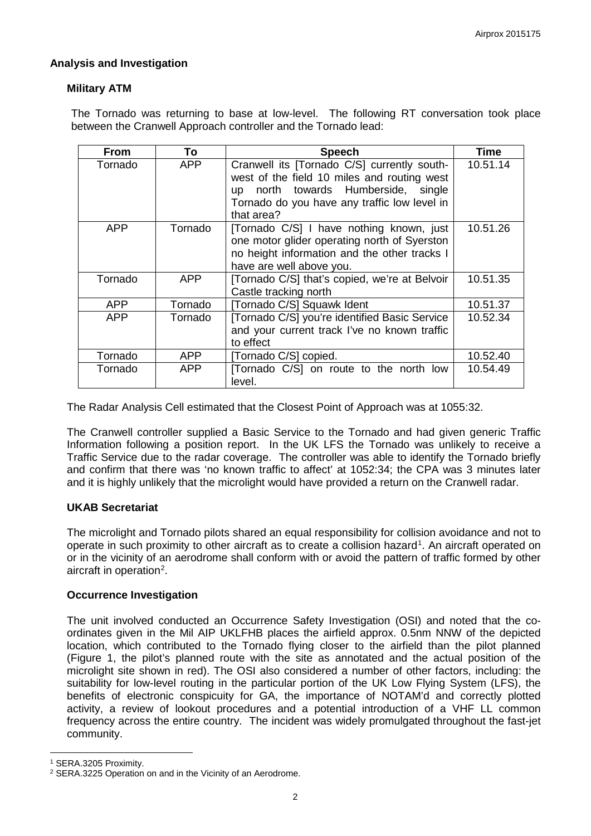## **Analysis and Investigation**

## **Military ATM**

The Tornado was returning to base at low-level. The following RT conversation took place between the Cranwell Approach controller and the Tornado lead:

| <b>From</b> | To         | <b>Speech</b>                                                                                                                                                                                   | <b>Time</b> |
|-------------|------------|-------------------------------------------------------------------------------------------------------------------------------------------------------------------------------------------------|-------------|
| Tornado     | <b>APP</b> | Cranwell its [Tornado C/S] currently south-<br>west of the field 10 miles and routing west<br>up north towards Humberside, single<br>Tornado do you have any traffic low level in<br>that area? | 10.51.14    |
| <b>APP</b>  | Tornado    | [Tornado C/S] I have nothing known, just<br>one motor glider operating north of Syerston<br>no height information and the other tracks I<br>have are well above you.                            | 10.51.26    |
| Tornado     | <b>APP</b> | [Tornado C/S] that's copied, we're at Belvoir<br>Castle tracking north                                                                                                                          | 10.51.35    |
| <b>APP</b>  | Tornado    | [Tornado C/S] Squawk Ident                                                                                                                                                                      | 10.51.37    |
| <b>APP</b>  | Tornado    | [Tornado C/S] you're identified Basic Service<br>and your current track I've no known traffic<br>to effect                                                                                      | 10.52.34    |
| Tornado     | <b>APP</b> | [Tornado C/S] copied.                                                                                                                                                                           | 10.52.40    |
| Tornado     | <b>APP</b> | [Tornado C/S] on route to the north low<br>level.                                                                                                                                               | 10.54.49    |

The Radar Analysis Cell estimated that the Closest Point of Approach was at 1055:32.

The Cranwell controller supplied a Basic Service to the Tornado and had given generic Traffic Information following a position report. In the UK LFS the Tornado was unlikely to receive a Traffic Service due to the radar coverage. The controller was able to identify the Tornado briefly and confirm that there was 'no known traffic to affect' at 1052:34; the CPA was 3 minutes later and it is highly unlikely that the microlight would have provided a return on the Cranwell radar.

## **UKAB Secretariat**

The microlight and Tornado pilots shared an equal responsibility for collision avoidance and not to operate in such proximity to other aircraft as to create a collision hazard<sup>[1](#page-1-0)</sup>. An aircraft operated on or in the vicinity of an aerodrome shall conform with or avoid the pattern of traffic formed by other aircraft in operation<sup>[2](#page-1-1)</sup>.

## **Occurrence Investigation**

The unit involved conducted an Occurrence Safety Investigation (OSI) and noted that the coordinates given in the Mil AIP UKLFHB places the airfield approx. 0.5nm NNW of the depicted location, which contributed to the Tornado flying closer to the airfield than the pilot planned (Figure 1, the pilot's planned route with the site as annotated and the actual position of the microlight site shown in red). The OSI also considered a number of other factors, including: the suitability for low-level routing in the particular portion of the UK Low Flying System (LFS), the benefits of electronic conspicuity for GA, the importance of NOTAM'd and correctly plotted activity, a review of lookout procedures and a potential introduction of a VHF LL common frequency across the entire country. The incident was widely promulgated throughout the fast-jet community.

l

<span id="page-1-0"></span><sup>1</sup> SERA.3205 Proximity.

<span id="page-1-1"></span><sup>2</sup> SERA.3225 Operation on and in the Vicinity of an Aerodrome.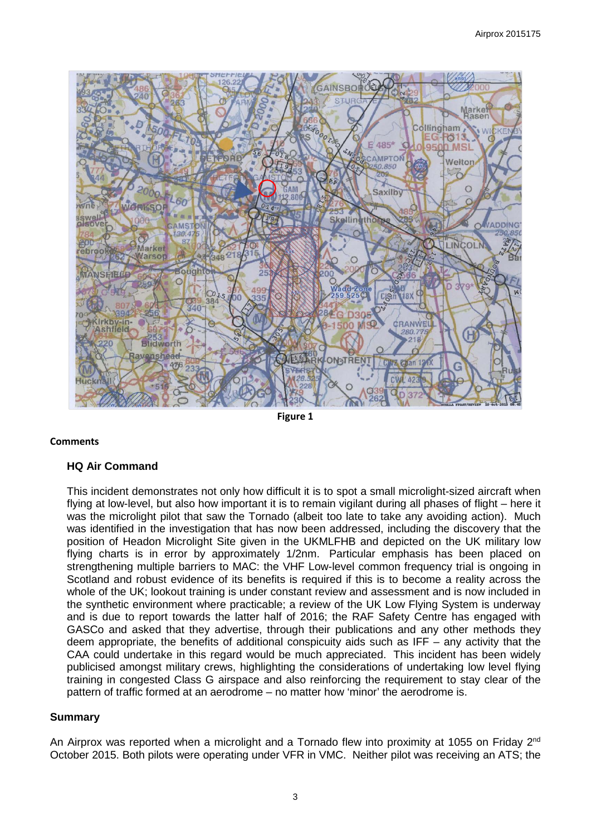

**Figure 1** 

### **Comments**

### **HQ Air Command**

This incident demonstrates not only how difficult it is to spot a small microlight-sized aircraft when flying at low-level, but also how important it is to remain vigilant during all phases of flight – here it was the microlight pilot that saw the Tornado (albeit too late to take any avoiding action). Much was identified in the investigation that has now been addressed, including the discovery that the position of Headon Microlight Site given in the UKMLFHB and depicted on the UK military low flying charts is in error by approximately 1/2nm. Particular emphasis has been placed on strengthening multiple barriers to MAC: the VHF Low-level common frequency trial is ongoing in Scotland and robust evidence of its benefits is required if this is to become a reality across the whole of the UK; lookout training is under constant review and assessment and is now included in the synthetic environment where practicable; a review of the UK Low Flying System is underway and is due to report towards the latter half of 2016; the RAF Safety Centre has engaged with GASCo and asked that they advertise, through their publications and any other methods they deem appropriate, the benefits of additional conspicuity aids such as IFF – any activity that the CAA could undertake in this regard would be much appreciated. This incident has been widely publicised amongst military crews, highlighting the considerations of undertaking low level flying training in congested Class G airspace and also reinforcing the requirement to stay clear of the pattern of traffic formed at an aerodrome – no matter how 'minor' the aerodrome is.

### **Summary**

An Airprox was reported when a microlight and a Tornado flew into proximity at 1055 on Friday 2<sup>nd</sup> October 2015. Both pilots were operating under VFR in VMC. Neither pilot was receiving an ATS; the